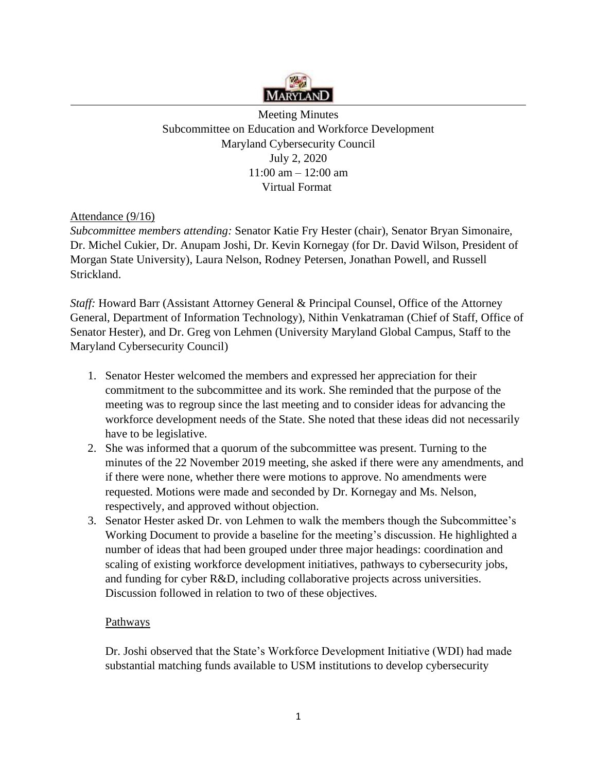

Meeting Minutes Subcommittee on Education and Workforce Development Maryland Cybersecurity Council July 2, 2020 11:00 am – 12:00 am Virtual Format

## Attendance (9/16)

*Subcommittee members attending:* Senator Katie Fry Hester (chair), Senator Bryan Simonaire, Dr. Michel Cukier, Dr. Anupam Joshi, Dr. Kevin Kornegay (for Dr. David Wilson, President of Morgan State University), Laura Nelson, Rodney Petersen, Jonathan Powell, and Russell Strickland.

*Staff:* Howard Barr (Assistant Attorney General & Principal Counsel, Office of the Attorney General, Department of Information Technology), Nithin Venkatraman (Chief of Staff, Office of Senator Hester), and Dr. Greg von Lehmen (University Maryland Global Campus, Staff to the Maryland Cybersecurity Council)

- 1. Senator Hester welcomed the members and expressed her appreciation for their commitment to the subcommittee and its work. She reminded that the purpose of the meeting was to regroup since the last meeting and to consider ideas for advancing the workforce development needs of the State. She noted that these ideas did not necessarily have to be legislative.
- 2. She was informed that a quorum of the subcommittee was present. Turning to the minutes of the 22 November 2019 meeting, she asked if there were any amendments, and if there were none, whether there were motions to approve. No amendments were requested. Motions were made and seconded by Dr. Kornegay and Ms. Nelson, respectively, and approved without objection.
- 3. Senator Hester asked Dr. von Lehmen to walk the members though the Subcommittee's Working Document to provide a baseline for the meeting's discussion. He highlighted a number of ideas that had been grouped under three major headings: coordination and scaling of existing workforce development initiatives, pathways to cybersecurity jobs, and funding for cyber R&D, including collaborative projects across universities. Discussion followed in relation to two of these objectives.

## Pathways

Dr. Joshi observed that the State's Workforce Development Initiative (WDI) had made substantial matching funds available to USM institutions to develop cybersecurity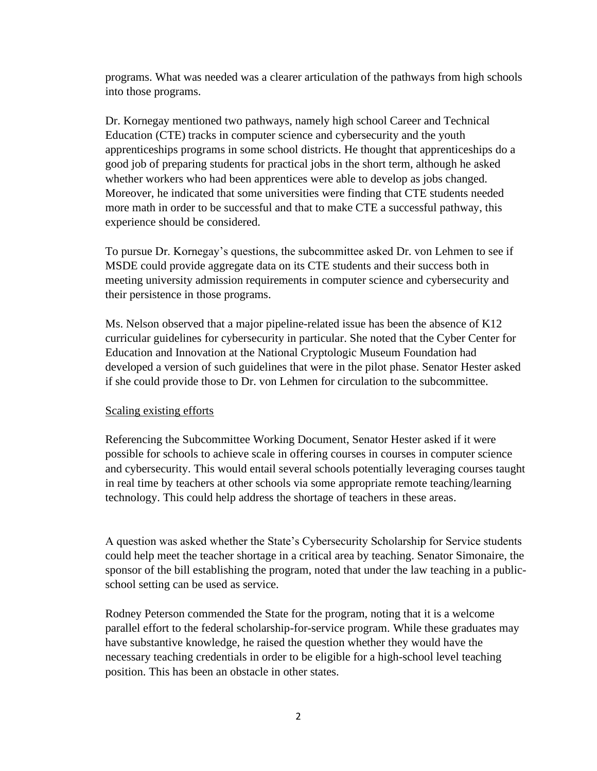programs. What was needed was a clearer articulation of the pathways from high schools into those programs.

Dr. Kornegay mentioned two pathways, namely high school Career and Technical Education (CTE) tracks in computer science and cybersecurity and the youth apprenticeships programs in some school districts. He thought that apprenticeships do a good job of preparing students for practical jobs in the short term, although he asked whether workers who had been apprentices were able to develop as jobs changed. Moreover, he indicated that some universities were finding that CTE students needed more math in order to be successful and that to make CTE a successful pathway, this experience should be considered.

To pursue Dr. Kornegay's questions, the subcommittee asked Dr. von Lehmen to see if MSDE could provide aggregate data on its CTE students and their success both in meeting university admission requirements in computer science and cybersecurity and their persistence in those programs.

Ms. Nelson observed that a major pipeline-related issue has been the absence of K12 curricular guidelines for cybersecurity in particular. She noted that the Cyber Center for Education and Innovation at the National Cryptologic Museum Foundation had developed a version of such guidelines that were in the pilot phase. Senator Hester asked if she could provide those to Dr. von Lehmen for circulation to the subcommittee.

## Scaling existing efforts

Referencing the Subcommittee Working Document, Senator Hester asked if it were possible for schools to achieve scale in offering courses in courses in computer science and cybersecurity. This would entail several schools potentially leveraging courses taught in real time by teachers at other schools via some appropriate remote teaching/learning technology. This could help address the shortage of teachers in these areas.

A question was asked whether the State's Cybersecurity Scholarship for Service students could help meet the teacher shortage in a critical area by teaching. Senator Simonaire, the sponsor of the bill establishing the program, noted that under the law teaching in a publicschool setting can be used as service.

Rodney Peterson commended the State for the program, noting that it is a welcome parallel effort to the federal scholarship-for-service program. While these graduates may have substantive knowledge, he raised the question whether they would have the necessary teaching credentials in order to be eligible for a high-school level teaching position. This has been an obstacle in other states.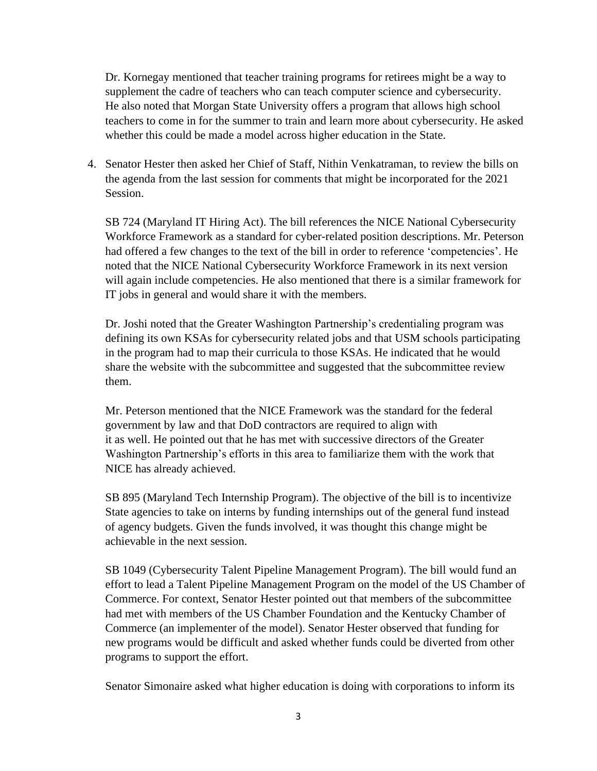Dr. Kornegay mentioned that teacher training programs for retirees might be a way to supplement the cadre of teachers who can teach computer science and cybersecurity. He also noted that Morgan State University offers a program that allows high school teachers to come in for the summer to train and learn more about cybersecurity. He asked whether this could be made a model across higher education in the State.

4. Senator Hester then asked her Chief of Staff, Nithin Venkatraman, to review the bills on the agenda from the last session for comments that might be incorporated for the 2021 Session.

SB 724 (Maryland IT Hiring Act). The bill references the NICE National Cybersecurity Workforce Framework as a standard for cyber-related position descriptions. Mr. Peterson had offered a few changes to the text of the bill in order to reference 'competencies'. He noted that the NICE National Cybersecurity Workforce Framework in its next version will again include competencies. He also mentioned that there is a similar framework for IT jobs in general and would share it with the members.

Dr. Joshi noted that the Greater Washington Partnership's credentialing program was defining its own KSAs for cybersecurity related jobs and that USM schools participating in the program had to map their curricula to those KSAs. He indicated that he would share the website with the subcommittee and suggested that the subcommittee review them.

Mr. Peterson mentioned that the NICE Framework was the standard for the federal government by law and that DoD contractors are required to align with it as well. He pointed out that he has met with successive directors of the Greater Washington Partnership's efforts in this area to familiarize them with the work that NICE has already achieved.

SB 895 (Maryland Tech Internship Program). The objective of the bill is to incentivize State agencies to take on interns by funding internships out of the general fund instead of agency budgets. Given the funds involved, it was thought this change might be achievable in the next session.

SB 1049 (Cybersecurity Talent Pipeline Management Program). The bill would fund an effort to lead a Talent Pipeline Management Program on the model of the US Chamber of Commerce. For context, Senator Hester pointed out that members of the subcommittee had met with members of the US Chamber Foundation and the Kentucky Chamber of Commerce (an implementer of the model). Senator Hester observed that funding for new programs would be difficult and asked whether funds could be diverted from other programs to support the effort.

Senator Simonaire asked what higher education is doing with corporations to inform its